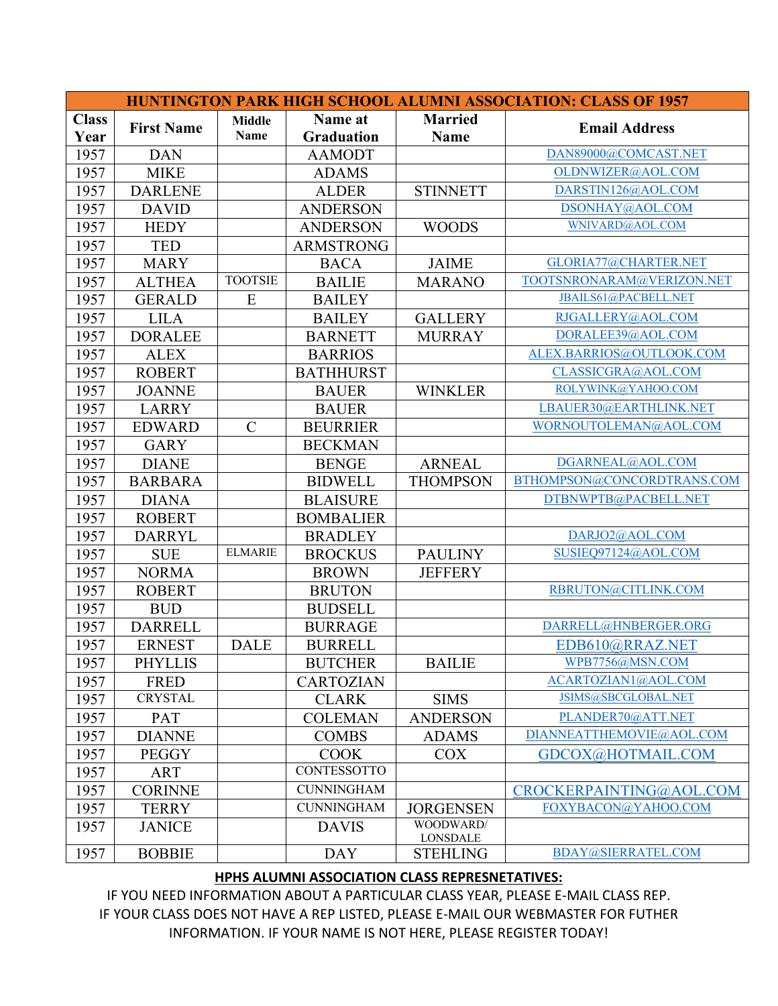|              |                   |                |                   |                              | <b>HUNTINGTON PARK HIGH SCHOOL ALUMNI ASSOCIATION: CLASS OF 1957</b> |
|--------------|-------------------|----------------|-------------------|------------------------------|----------------------------------------------------------------------|
| <b>Class</b> | <b>First Name</b> | <b>Middle</b>  | Name at           | <b>Married</b>               | <b>Email Address</b>                                                 |
| Year         |                   | <b>Name</b>    | <b>Graduation</b> | Name                         |                                                                      |
| 1957         | <b>DAN</b>        |                | <b>AAMODT</b>     |                              | DAN89000@COMCAST.NET                                                 |
| 1957         | <b>MIKE</b>       |                | <b>ADAMS</b>      |                              | OLDNWIZER@AOL.COM                                                    |
| 1957         | <b>DARLENE</b>    |                | <b>ALDER</b>      | <b>STINNETT</b>              | DARSTIN126@AOL.COM                                                   |
| 1957         | <b>DAVID</b>      |                | <b>ANDERSON</b>   |                              | DSONHAY@AOL.COM                                                      |
| 1957         | <b>HEDY</b>       |                | <b>ANDERSON</b>   | <b>WOODS</b>                 | WNIVARD@AOL.COM                                                      |
| 1957         | <b>TED</b>        |                | <b>ARMSTRONG</b>  |                              |                                                                      |
| 1957         | <b>MARY</b>       |                | <b>BACA</b>       | <b>JAIME</b>                 | GLORIA77@CHARTER.NET                                                 |
| 1957         | <b>ALTHEA</b>     | <b>TOOTSIE</b> | <b>BAILIE</b>     | <b>MARANO</b>                | TOOTSNRONARAM@VERIZON.NET                                            |
| 1957         | <b>GERALD</b>     | E              | <b>BAILEY</b>     |                              | JBAILS61@PACBELL.NET                                                 |
| 1957         | <b>LILA</b>       |                | <b>BAILEY</b>     | <b>GALLERY</b>               | RJGALLERY@AOL.COM                                                    |
| 1957         | <b>DORALEE</b>    |                | <b>BARNETT</b>    | <b>MURRAY</b>                | DORALEE39@AOL.COM                                                    |
| 1957         | <b>ALEX</b>       |                | <b>BARRIOS</b>    |                              | ALEX.BARRIOS@OUTLOOK.COM                                             |
| 1957         | <b>ROBERT</b>     |                | <b>BATHHURST</b>  |                              | CLASSICGRA@AOL.COM                                                   |
| 1957         | <b>JOANNE</b>     |                | <b>BAUER</b>      | <b>WINKLER</b>               | ROLYWINK@YAHOO.COM                                                   |
| 1957         | <b>LARRY</b>      |                | <b>BAUER</b>      |                              | LBAUER30@EARTHLINK.NET                                               |
| 1957         | <b>EDWARD</b>     | $\mathcal{C}$  | <b>BEURRIER</b>   |                              | WORNOUTOLEMAN@AOL.COM                                                |
| 1957         | <b>GARY</b>       |                | <b>BECKMAN</b>    |                              |                                                                      |
| 1957         | <b>DIANE</b>      |                | <b>BENGE</b>      | <b>ARNEAL</b>                | DGARNEAL@AOL.COM                                                     |
| 1957         | <b>BARBARA</b>    |                | <b>BIDWELL</b>    | <b>THOMPSON</b>              | BTHOMPSON@CONCORDTRANS.COM                                           |
| 1957         | <b>DIANA</b>      |                | <b>BLAISURE</b>   |                              | DTBNWPTB@PACBELL.NET                                                 |
| 1957         | <b>ROBERT</b>     |                | <b>BOMBALIER</b>  |                              |                                                                      |
| 1957         | <b>DARRYL</b>     |                | <b>BRADLEY</b>    |                              | DARJO2@AOL.COM                                                       |
| 1957         | <b>SUE</b>        | <b>ELMARIE</b> | <b>BROCKUS</b>    | <b>PAULINY</b>               | SUSIEQ97124@AOL.COM                                                  |
| 1957         | <b>NORMA</b>      |                | <b>BROWN</b>      | <b>JEFFERY</b>               |                                                                      |
| 1957         | <b>ROBERT</b>     |                | <b>BRUTON</b>     |                              | RBRUTON@CITLINK.COM                                                  |
| 1957         | <b>BUD</b>        |                | <b>BUDSELL</b>    |                              |                                                                      |
| 1957         | <b>DARRELL</b>    |                | <b>BURRAGE</b>    |                              | DARRELL@HNBERGER.ORG                                                 |
| 1957         | <b>ERNEST</b>     | <b>DALE</b>    | <b>BURRELL</b>    |                              | EDB610@RRAZ.NET                                                      |
| 1957         | <b>PHYLLIS</b>    |                | <b>BUTCHER</b>    | <b>BAILIE</b>                | WPB7756@MSN.COM                                                      |
| 1957         | <b>FRED</b>       |                | <b>CARTOZIAN</b>  |                              | ACARTOZIAN1@AOL.COM                                                  |
| 1957         | <b>CRYSTAL</b>    |                | <b>CLARK</b>      | <b>SIMS</b>                  | JSIMS@SBCGLOBAL.NET                                                  |
| 1957         | PAT               |                | <b>COLEMAN</b>    | <b>ANDERSON</b>              | PLANDER70@ATT.NET                                                    |
| 1957         | <b>DIANNE</b>     |                | <b>COMBS</b>      | <b>ADAMS</b>                 | DIANNEATTHEMOVIE@AOL.COM                                             |
| 1957         | <b>PEGGY</b>      |                | <b>COOK</b>       | <b>COX</b>                   | GDCOX@HOTMAIL.COM                                                    |
| 1957         | <b>ART</b>        |                | CONTESSOTTO       |                              |                                                                      |
| 1957         | <b>CORINNE</b>    |                | <b>CUNNINGHAM</b> |                              | CROCKERPAINTING@AOL.COM                                              |
| 1957         | <b>TERRY</b>      |                | <b>CUNNINGHAM</b> | <b>JORGENSEN</b>             | FOXYBACON@YAHOO.COM                                                  |
| 1957         | <b>JANICE</b>     |                | <b>DAVIS</b>      | WOODWARD/<br><b>LONSDALE</b> |                                                                      |
| 1957         | <b>BOBBIE</b>     |                | <b>DAY</b>        | <b>STEHLING</b>              | BDAY@SIERRATEL.COM                                                   |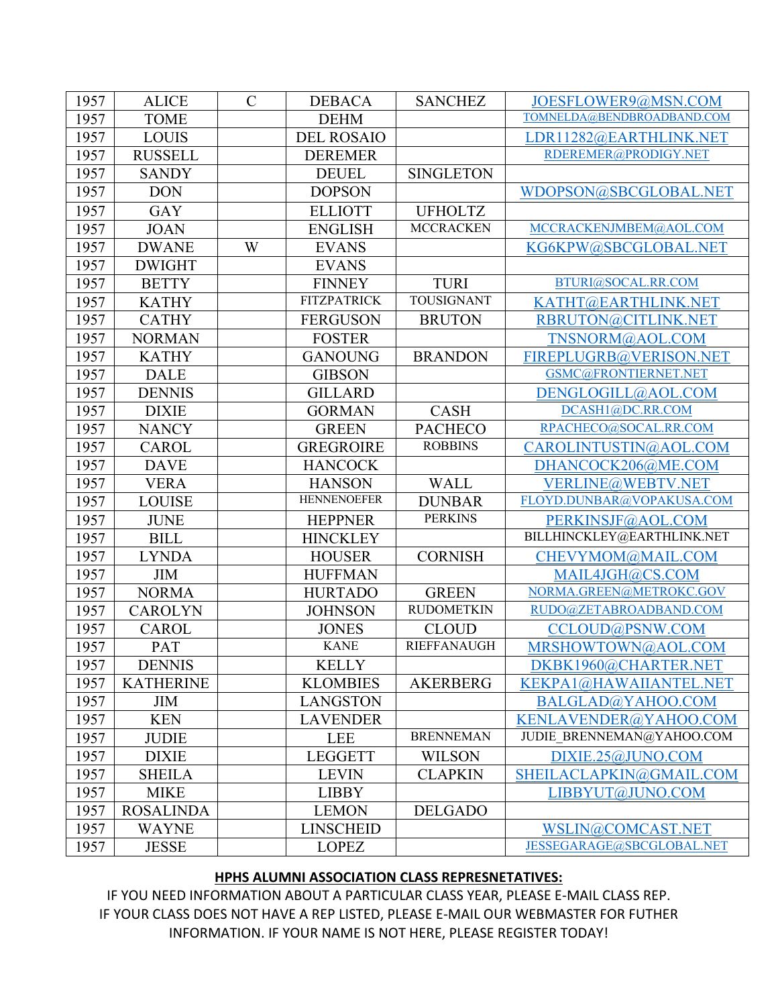| 1957 | <b>ALICE</b>     | $\mathcal{C}$ | <b>DEBACA</b>      | <b>SANCHEZ</b>     | JOESFLOWER9@MSN.COM        |
|------|------------------|---------------|--------------------|--------------------|----------------------------|
| 1957 | <b>TOME</b>      |               | <b>DEHM</b>        |                    | TOMNELDA@BENDBROADBAND.COM |
| 1957 | <b>LOUIS</b>     |               | <b>DEL ROSAIO</b>  |                    | LDR11282@EARTHLINK.NET     |
| 1957 | <b>RUSSELL</b>   |               | <b>DEREMER</b>     |                    | RDEREMER@PRODIGY.NET       |
| 1957 | <b>SANDY</b>     |               | <b>DEUEL</b>       | <b>SINGLETON</b>   |                            |
| 1957 | <b>DON</b>       |               | <b>DOPSON</b>      |                    | WDOPSON@SBCGLOBAL.NET      |
| 1957 | <b>GAY</b>       |               | <b>ELLIOTT</b>     | <b>UFHOLTZ</b>     |                            |
| 1957 | <b>JOAN</b>      |               | <b>ENGLISH</b>     | <b>MCCRACKEN</b>   | MCCRACKENJMBEM@AOL.COM     |
| 1957 | <b>DWANE</b>     | W             | <b>EVANS</b>       |                    | KG6KPW@SBCGLOBAL.NET       |
| 1957 | <b>DWIGHT</b>    |               | <b>EVANS</b>       |                    |                            |
| 1957 | <b>BETTY</b>     |               | <b>FINNEY</b>      | <b>TURI</b>        | BTURI@SOCAL.RR.COM         |
| 1957 | <b>KATHY</b>     |               | <b>FITZPATRICK</b> | TOUSIGNANT         | KATHT@EARTHLINK.NET        |
| 1957 | <b>CATHY</b>     |               | <b>FERGUSON</b>    | <b>BRUTON</b>      | RBRUTON@CITLINK.NET        |
| 1957 | <b>NORMAN</b>    |               | <b>FOSTER</b>      |                    | TNSNORM@AOL.COM            |
| 1957 | <b>KATHY</b>     |               | <b>GANOUNG</b>     | <b>BRANDON</b>     | FIREPLUGRB@VERISON.NET     |
| 1957 | <b>DALE</b>      |               | <b>GIBSON</b>      |                    | GSMC@FRONTIERNET.NET       |
| 1957 | <b>DENNIS</b>    |               | <b>GILLARD</b>     |                    | DENGLOGILL@AOL.COM         |
| 1957 | <b>DIXIE</b>     |               | <b>GORMAN</b>      | <b>CASH</b>        | DCASH1@DC.RR.COM           |
| 1957 | <b>NANCY</b>     |               | <b>GREEN</b>       | <b>PACHECO</b>     | RPACHECO@SOCAL.RR.COM      |
| 1957 | <b>CAROL</b>     |               | <b>GREGROIRE</b>   | <b>ROBBINS</b>     | CAROLINTUSTIN@AOL.COM      |
| 1957 | <b>DAVE</b>      |               | <b>HANCOCK</b>     |                    | DHANCOCK206@ME.COM         |
| 1957 | <b>VERA</b>      |               | <b>HANSON</b>      | <b>WALL</b>        | VERLINE@WEBTV.NET          |
| 1957 | <b>LOUISE</b>    |               | <b>HENNENOEFER</b> | <b>DUNBAR</b>      | FLOYD.DUNBAR@VOPAKUSA.COM  |
| 1957 | <b>JUNE</b>      |               | <b>HEPPNER</b>     | <b>PERKINS</b>     | PERKINSJF@AOL.COM          |
| 1957 | <b>BILL</b>      |               | <b>HINCKLEY</b>    |                    | BILLHINCKLEY@EARTHLINK.NET |
| 1957 | <b>LYNDA</b>     |               | <b>HOUSER</b>      | <b>CORNISH</b>     | CHEVYMOM@MAIL.COM          |
| 1957 | <b>JIM</b>       |               | <b>HUFFMAN</b>     |                    | MAIL4JGH@CS.COM            |
| 1957 | <b>NORMA</b>     |               | <b>HURTADO</b>     | <b>GREEN</b>       | NORMA.GREEN@METROKC.GOV    |
| 1957 | <b>CAROLYN</b>   |               | <b>JOHNSON</b>     | <b>RUDOMETKIN</b>  | RUDO@ZETABROADBAND.COM     |
| 1957 | <b>CAROL</b>     |               | <b>JONES</b>       | <b>CLOUD</b>       | CCLOUD@PSNW.COM            |
| 1957 | PAT              |               | <b>KANE</b>        | <b>RIEFFANAUGH</b> | MRSHOWTOWN@AOL.COM         |
| 1957 | <b>DENNIS</b>    |               | <b>KELLY</b>       |                    | DKBK1960@CHARTER.NET       |
| 1957 | <b>KATHERINE</b> |               | <b>KLOMBIES</b>    | <b>AKERBERG</b>    | KEKPA1@HAWAIIANTEL.NET     |
| 1957 | <b>JIM</b>       |               | <b>LANGSTON</b>    |                    | BALGLAD@YAHOO.COM          |
| 1957 | <b>KEN</b>       |               | <b>LAVENDER</b>    |                    | KENLAVENDER@YAHOO.COM      |
| 1957 | <b>JUDIE</b>     |               | <b>LEE</b>         | <b>BRENNEMAN</b>   | JUDIE BRENNEMAN@YAHOO.COM  |
| 1957 | <b>DIXIE</b>     |               | <b>LEGGETT</b>     | <b>WILSON</b>      | DIXIE.25@JUNO.COM          |
| 1957 | <b>SHEILA</b>    |               | <b>LEVIN</b>       | <b>CLAPKIN</b>     | SHEILACLAPKIN@GMAIL.COM    |
| 1957 | <b>MIKE</b>      |               | <b>LIBBY</b>       |                    | LIBBYUT@JUNO.COM           |
| 1957 | <b>ROSALINDA</b> |               | <b>LEMON</b>       | <b>DELGADO</b>     |                            |
| 1957 | <b>WAYNE</b>     |               | <b>LINSCHEID</b>   |                    | WSLIN@COMCAST.NET          |
| 1957 | <b>JESSE</b>     |               | <b>LOPEZ</b>       |                    | JESSEGARAGE@SBCGLOBAL.NET  |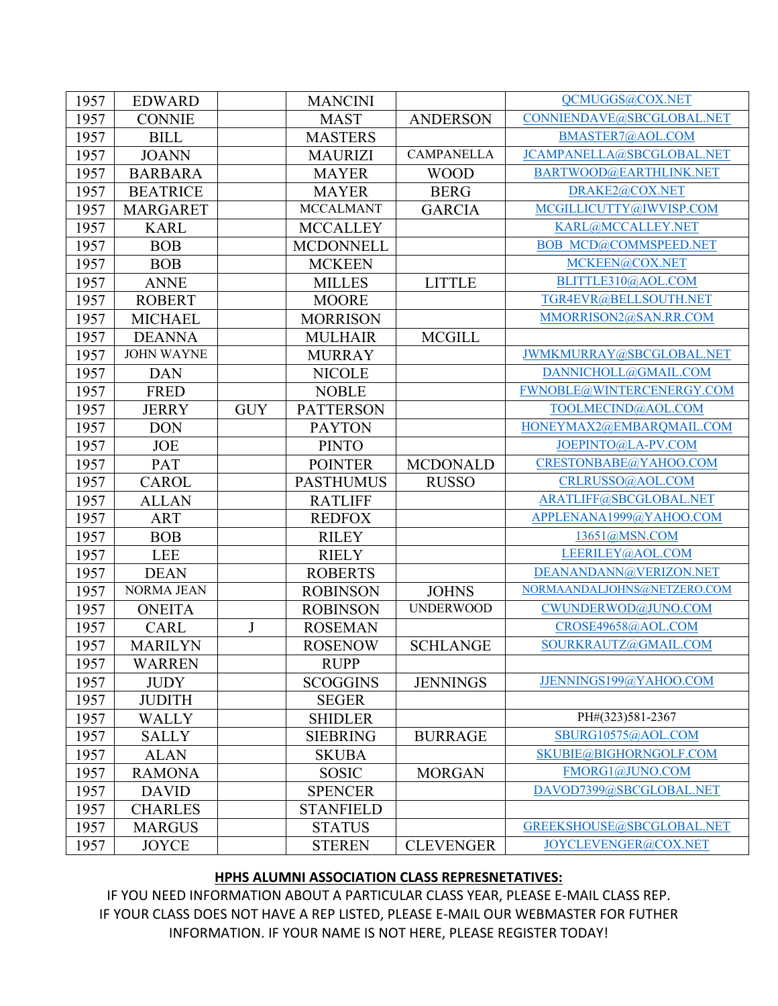| 1957 | <b>EDWARD</b>     |            | <b>MANCINI</b>   |                   | QCMUGGS@COX.NET              |
|------|-------------------|------------|------------------|-------------------|------------------------------|
| 1957 | <b>CONNIE</b>     |            | <b>MAST</b>      | <b>ANDERSON</b>   | CONNIENDAVE@SBCGLOBAL.NET    |
| 1957 | <b>BILL</b>       |            | <b>MASTERS</b>   |                   | BMASTER7@AOL.COM             |
| 1957 | <b>JOANN</b>      |            | <b>MAURIZI</b>   | <b>CAMPANELLA</b> | JCAMPANELLA@SBCGLOBAL.NET    |
| 1957 | <b>BARBARA</b>    |            | <b>MAYER</b>     | <b>WOOD</b>       | BARTWOOD@EARTHLINK.NET       |
| 1957 | <b>BEATRICE</b>   |            | <b>MAYER</b>     | <b>BERG</b>       | DRAKE2@COX.NET               |
| 1957 | <b>MARGARET</b>   |            | <b>MCCALMANT</b> | <b>GARCIA</b>     | MCGILLICUTTY@IWVISP.COM      |
| 1957 | <b>KARL</b>       |            | <b>MCCALLEY</b>  |                   | KARL@MCCALLEY.NET            |
| 1957 | <b>BOB</b>        |            | <b>MCDONNELL</b> |                   | <b>BOB MCD@COMMSPEED.NET</b> |
| 1957 | <b>BOB</b>        |            | <b>MCKEEN</b>    |                   | MCKEEN@COX.NET               |
| 1957 | <b>ANNE</b>       |            | <b>MILLES</b>    | <b>LITTLE</b>     | BLITTLE310@AOL.COM           |
| 1957 | <b>ROBERT</b>     |            | <b>MOORE</b>     |                   | TGR4EVR@BELLSOUTH.NET        |
| 1957 | <b>MICHAEL</b>    |            | <b>MORRISON</b>  |                   | MMORRISON2@SAN.RR.COM        |
| 1957 | <b>DEANNA</b>     |            | <b>MULHAIR</b>   | <b>MCGILL</b>     |                              |
| 1957 | <b>JOHN WAYNE</b> |            | <b>MURRAY</b>    |                   | JWMKMURRAY@SBCGLOBAL.NET     |
| 1957 | <b>DAN</b>        |            | <b>NICOLE</b>    |                   | DANNICHOLL@GMAIL.COM         |
| 1957 | <b>FRED</b>       |            | <b>NOBLE</b>     |                   | FWNOBLE@WINTERCENERGY.COM    |
| 1957 | <b>JERRY</b>      | <b>GUY</b> | <b>PATTERSON</b> |                   | TOOLMECIND@AOL.COM           |
| 1957 | <b>DON</b>        |            | <b>PAYTON</b>    |                   | HONEYMAX2@EMBARQMAIL.COM     |
| 1957 | <b>JOE</b>        |            | <b>PINTO</b>     |                   | JOEPINTO@LA-PV.COM           |
| 1957 | PAT               |            | <b>POINTER</b>   | <b>MCDONALD</b>   | CRESTONBABE@YAHOO.COM        |
| 1957 | <b>CAROL</b>      |            | <b>PASTHUMUS</b> | <b>RUSSO</b>      | CRLRUSSO@AOL.COM             |
| 1957 | <b>ALLAN</b>      |            | <b>RATLIFF</b>   |                   | ARATLIFF@SBCGLOBAL.NET       |
| 1957 | <b>ART</b>        |            | <b>REDFOX</b>    |                   | APPLENANA1999@YAHOO.COM      |
| 1957 | <b>BOB</b>        |            | <b>RILEY</b>     |                   | 13651@MSN.COM                |
| 1957 | <b>LEE</b>        |            | <b>RIELY</b>     |                   | LEERILEY@AOL.COM             |
| 1957 | <b>DEAN</b>       |            | <b>ROBERTS</b>   |                   | DEANANDANN@VERIZON.NET       |
| 1957 | <b>NORMA JEAN</b> |            | <b>ROBINSON</b>  | <b>JOHNS</b>      | NORMAANDALJOHNS@NETZERO.COM  |
| 1957 | <b>ONEITA</b>     |            | <b>ROBINSON</b>  | <b>UNDERWOOD</b>  | CWUNDERWOD@JUNO.COM          |
| 1957 | <b>CARL</b>       | J          | <b>ROSEMAN</b>   |                   | CROSE49658@AOL.COM           |
| 1957 | <b>MARILYN</b>    |            | <b>ROSENOW</b>   | <b>SCHLANGE</b>   | SOURKRAUTZ@GMAIL.COM         |
| 1957 | WARREN            |            | <b>RUPP</b>      |                   |                              |
| 1957 | <b>JUDY</b>       |            | <b>SCOGGINS</b>  | <b>JENNINGS</b>   | JJENNINGS199@YAHOO.COM       |
| 1957 | <b>JUDITH</b>     |            | <b>SEGER</b>     |                   |                              |
| 1957 | <b>WALLY</b>      |            | <b>SHIDLER</b>   |                   | PH#(323)581-2367             |
| 1957 | <b>SALLY</b>      |            | <b>SIEBRING</b>  | <b>BURRAGE</b>    | SBURG10575@AOL.COM           |
| 1957 | <b>ALAN</b>       |            | <b>SKUBA</b>     |                   | SKUBIE@BIGHORNGOLF.COM       |
| 1957 | <b>RAMONA</b>     |            | <b>SOSIC</b>     | <b>MORGAN</b>     | FMORG1@JUNO.COM              |
| 1957 | <b>DAVID</b>      |            | <b>SPENCER</b>   |                   | DAVOD7399@SBCGLOBAL.NET      |
| 1957 | <b>CHARLES</b>    |            | <b>STANFIELD</b> |                   |                              |
| 1957 | <b>MARGUS</b>     |            | <b>STATUS</b>    |                   | GREEKSHOUSE@SBCGLOBAL.NET    |
| 1957 | <b>JOYCE</b>      |            | <b>STEREN</b>    | <b>CLEVENGER</b>  | JOYCLEVENGER@COX.NET         |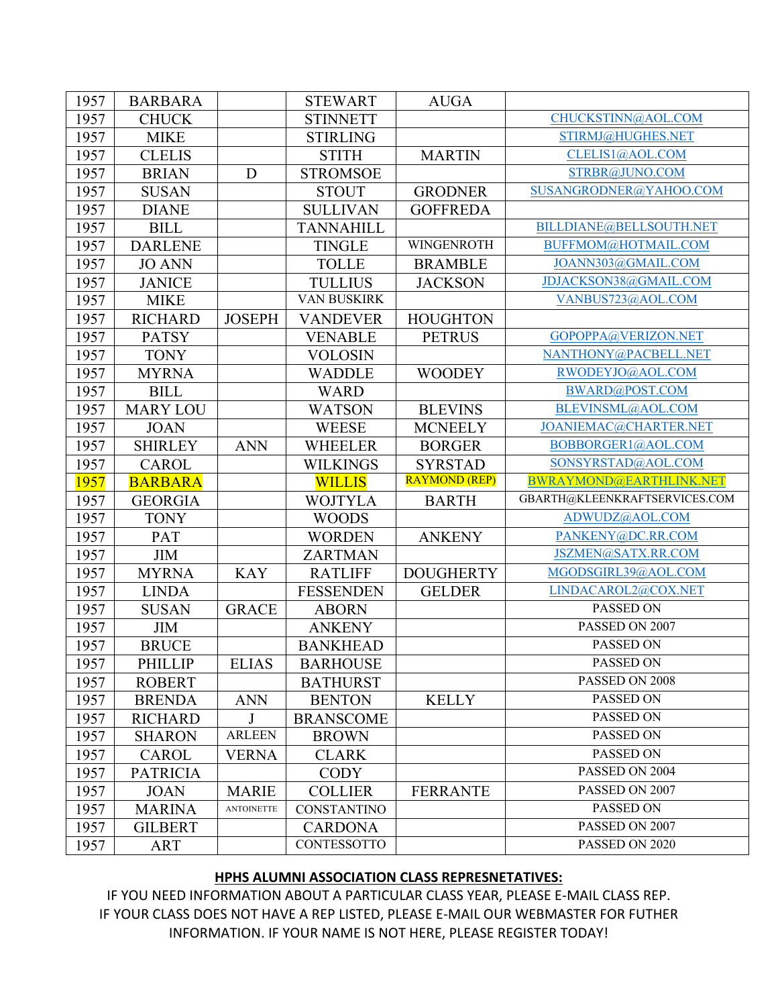| 1957 | <b>BARBARA</b>  |                   | <b>STEWART</b>     | <b>AUGA</b>          |                               |
|------|-----------------|-------------------|--------------------|----------------------|-------------------------------|
| 1957 | <b>CHUCK</b>    |                   | <b>STINNETT</b>    |                      | CHUCKSTINN@AOL.COM            |
| 1957 | <b>MIKE</b>     |                   | <b>STIRLING</b>    |                      | STIRMJ@HUGHES.NET             |
| 1957 | <b>CLELIS</b>   |                   | <b>STITH</b>       | <b>MARTIN</b>        | CLELIS1@AOL.COM               |
| 1957 | <b>BRIAN</b>    | D                 | <b>STROMSOE</b>    |                      | STRBR@JUNO.COM                |
| 1957 | <b>SUSAN</b>    |                   | <b>STOUT</b>       | <b>GRODNER</b>       | SUSANGRODNER@YAHOO.COM        |
| 1957 | <b>DIANE</b>    |                   | <b>SULLIVAN</b>    | <b>GOFFREDA</b>      |                               |
| 1957 | <b>BILL</b>     |                   | <b>TANNAHILL</b>   |                      | BILLDIANE@BELLSOUTH.NET       |
| 1957 | <b>DARLENE</b>  |                   | <b>TINGLE</b>      | WINGENROTH           | BUFFMOM@HOTMAIL.COM           |
| 1957 | <b>JO ANN</b>   |                   | <b>TOLLE</b>       | <b>BRAMBLE</b>       | JOANN303@GMAIL.COM            |
| 1957 | <b>JANICE</b>   |                   | <b>TULLIUS</b>     | <b>JACKSON</b>       | JDJACKSON38@GMAIL.COM         |
| 1957 | <b>MIKE</b>     |                   | VAN BUSKIRK        |                      | VANBUS723@AOL.COM             |
| 1957 | <b>RICHARD</b>  | <b>JOSEPH</b>     | <b>VANDEVER</b>    | <b>HOUGHTON</b>      |                               |
| 1957 | <b>PATSY</b>    |                   | <b>VENABLE</b>     | <b>PETRUS</b>        | GOPOPPA@VERIZON.NET           |
| 1957 | <b>TONY</b>     |                   | <b>VOLOSIN</b>     |                      | NANTHONY@PACBELL.NET          |
| 1957 | <b>MYRNA</b>    |                   | <b>WADDLE</b>      | <b>WOODEY</b>        | RWODEYJO@AOL.COM              |
| 1957 | <b>BILL</b>     |                   | <b>WARD</b>        |                      | BWARD@POST.COM                |
| 1957 | <b>MARY LOU</b> |                   | <b>WATSON</b>      | <b>BLEVINS</b>       | BLEVINSML@AOL.COM             |
| 1957 | <b>JOAN</b>     |                   | <b>WEESE</b>       | <b>MCNEELY</b>       | JOANIEMAC@CHARTER.NET         |
| 1957 | <b>SHIRLEY</b>  | <b>ANN</b>        | <b>WHEELER</b>     | <b>BORGER</b>        | BOBBORGER1@AOL.COM            |
| 1957 | <b>CAROL</b>    |                   | <b>WILKINGS</b>    | <b>SYRSTAD</b>       | SONSYRSTAD@AOL.COM            |
|      |                 |                   |                    |                      |                               |
| 1957 | <b>BARBARA</b>  |                   | <b>WILLIS</b>      | <b>RAYMOND (REP)</b> | BWRAYMOND@EARTHLINK.NET       |
| 1957 | <b>GEORGIA</b>  |                   | <b>WOJTYLA</b>     | <b>BARTH</b>         | GBARTH@KLEENKRAFTSERVICES.COM |
| 1957 | <b>TONY</b>     |                   | <b>WOODS</b>       |                      | ADWUDZ@AOL.COM                |
| 1957 | PAT             |                   | <b>WORDEN</b>      | <b>ANKENY</b>        | PANKENY@DC.RR.COM             |
| 1957 | <b>JIM</b>      |                   | <b>ZARTMAN</b>     |                      | JSZMEN@SATX.RR.COM            |
| 1957 | <b>MYRNA</b>    | <b>KAY</b>        | <b>RATLIFF</b>     | <b>DOUGHERTY</b>     | MGODSGIRL39@AOL.COM           |
| 1957 | <b>LINDA</b>    |                   | <b>FESSENDEN</b>   | <b>GELDER</b>        | LINDACAROL2@COX.NET           |
| 1957 | <b>SUSAN</b>    | <b>GRACE</b>      | <b>ABORN</b>       |                      | PASSED ON                     |
| 1957 | <b>JIM</b>      |                   | <b>ANKENY</b>      |                      | PASSED ON 2007                |
| 1957 | <b>BRUCE</b>    |                   | <b>BANKHEAD</b>    |                      | PASSED ON                     |
| 1957 | <b>PHILLIP</b>  | <b>ELIAS</b>      | <b>BARHOUSE</b>    |                      | PASSED ON                     |
| 1957 | <b>ROBERT</b>   |                   | <b>BATHURST</b>    |                      | PASSED ON 2008                |
| 1957 | <b>BRENDA</b>   | <b>ANN</b>        | <b>BENTON</b>      | <b>KELLY</b>         | PASSED ON                     |
| 1957 | <b>RICHARD</b>  | J                 | <b>BRANSCOME</b>   |                      | PASSED ON                     |
| 1957 | <b>SHARON</b>   | <b>ARLEEN</b>     | <b>BROWN</b>       |                      | PASSED ON                     |
| 1957 | <b>CAROL</b>    | <b>VERNA</b>      | <b>CLARK</b>       |                      | PASSED ON                     |
| 1957 | <b>PATRICIA</b> |                   | <b>CODY</b>        |                      | PASSED ON 2004                |
| 1957 | <b>JOAN</b>     | <b>MARIE</b>      | <b>COLLIER</b>     | <b>FERRANTE</b>      | PASSED ON 2007                |
| 1957 | <b>MARINA</b>   | <b>ANTOINETTE</b> | <b>CONSTANTINO</b> |                      | PASSED ON                     |
| 1957 | <b>GILBERT</b>  |                   | <b>CARDONA</b>     |                      | PASSED ON 2007                |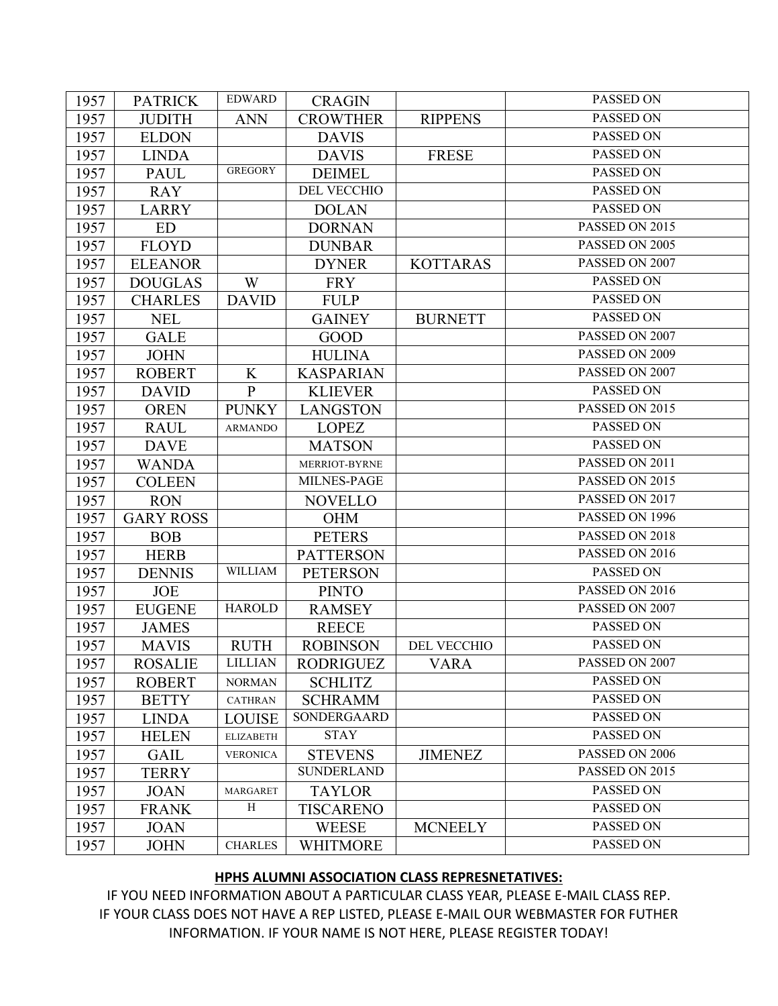| 1957 | <b>PATRICK</b>   | <b>EDWARD</b>    | <b>CRAGIN</b>      |                 | PASSED ON      |
|------|------------------|------------------|--------------------|-----------------|----------------|
| 1957 | <b>JUDITH</b>    | <b>ANN</b>       | <b>CROWTHER</b>    | <b>RIPPENS</b>  | PASSED ON      |
| 1957 | <b>ELDON</b>     |                  | <b>DAVIS</b>       |                 | PASSED ON      |
| 1957 | <b>LINDA</b>     |                  | <b>DAVIS</b>       | <b>FRESE</b>    | PASSED ON      |
| 1957 | <b>PAUL</b>      | <b>GREGORY</b>   | <b>DEIMEL</b>      |                 | PASSED ON      |
| 1957 | <b>RAY</b>       |                  | <b>DEL VECCHIO</b> |                 | PASSED ON      |
| 1957 | <b>LARRY</b>     |                  | <b>DOLAN</b>       |                 | PASSED ON      |
| 1957 | <b>ED</b>        |                  | <b>DORNAN</b>      |                 | PASSED ON 2015 |
| 1957 | <b>FLOYD</b>     |                  | <b>DUNBAR</b>      |                 | PASSED ON 2005 |
| 1957 | <b>ELEANOR</b>   |                  | <b>DYNER</b>       | <b>KOTTARAS</b> | PASSED ON 2007 |
| 1957 | <b>DOUGLAS</b>   | W                | <b>FRY</b>         |                 | PASSED ON      |
| 1957 | <b>CHARLES</b>   | <b>DAVID</b>     | <b>FULP</b>        |                 | PASSED ON      |
| 1957 | <b>NEL</b>       |                  | <b>GAINEY</b>      | <b>BURNETT</b>  | PASSED ON      |
| 1957 | <b>GALE</b>      |                  | <b>GOOD</b>        |                 | PASSED ON 2007 |
| 1957 | <b>JOHN</b>      |                  | <b>HULINA</b>      |                 | PASSED ON 2009 |
| 1957 | <b>ROBERT</b>    | K                | <b>KASPARIAN</b>   |                 | PASSED ON 2007 |
| 1957 | <b>DAVID</b>     | $\mathbf{P}$     | <b>KLIEVER</b>     |                 | PASSED ON      |
| 1957 | <b>OREN</b>      | <b>PUNKY</b>     | <b>LANGSTON</b>    |                 | PASSED ON 2015 |
| 1957 | <b>RAUL</b>      | <b>ARMANDO</b>   | <b>LOPEZ</b>       |                 | PASSED ON      |
| 1957 | <b>DAVE</b>      |                  | <b>MATSON</b>      |                 | PASSED ON      |
| 1957 | <b>WANDA</b>     |                  | MERRIOT-BYRNE      |                 | PASSED ON 2011 |
| 1957 | <b>COLEEN</b>    |                  | MILNES-PAGE        |                 | PASSED ON 2015 |
| 1957 | <b>RON</b>       |                  | <b>NOVELLO</b>     |                 | PASSED ON 2017 |
| 1957 | <b>GARY ROSS</b> |                  | <b>OHM</b>         |                 | PASSED ON 1996 |
| 1957 | <b>BOB</b>       |                  | <b>PETERS</b>      |                 | PASSED ON 2018 |
| 1957 | <b>HERB</b>      |                  | <b>PATTERSON</b>   |                 | PASSED ON 2016 |
| 1957 | <b>DENNIS</b>    | <b>WILLIAM</b>   | <b>PETERSON</b>    |                 | PASSED ON      |
| 1957 | <b>JOE</b>       |                  | <b>PINTO</b>       |                 | PASSED ON 2016 |
| 1957 | <b>EUGENE</b>    | <b>HAROLD</b>    | <b>RAMSEY</b>      |                 | PASSED ON 2007 |
| 1957 | <b>JAMES</b>     |                  | <b>REECE</b>       |                 | PASSED ON      |
| 1957 | <b>MAVIS</b>     | <b>RUTH</b>      | <b>ROBINSON</b>    | DEL VECCHIO     | PASSED ON      |
| 1957 | <b>ROSALIE</b>   | <b>LILLIAN</b>   | <b>RODRIGUEZ</b>   | VARA            | PASSED ON 2007 |
| 1957 | <b>ROBERT</b>    | <b>NORMAN</b>    | <b>SCHLITZ</b>     |                 | PASSED ON      |
| 1957 | <b>BETTY</b>     | <b>CATHRAN</b>   | <b>SCHRAMM</b>     |                 | PASSED ON      |
| 1957 | <b>LINDA</b>     | <b>LOUISE</b>    | SONDERGAARD        |                 | PASSED ON      |
| 1957 | <b>HELEN</b>     | <b>ELIZABETH</b> | <b>STAY</b>        |                 | PASSED ON      |
| 1957 | <b>GAIL</b>      | <b>VERONICA</b>  | <b>STEVENS</b>     | <b>JIMENEZ</b>  | PASSED ON 2006 |
| 1957 | <b>TERRY</b>     |                  | <b>SUNDERLAND</b>  |                 | PASSED ON 2015 |
| 1957 | <b>JOAN</b>      | <b>MARGARET</b>  | <b>TAYLOR</b>      |                 | PASSED ON      |
| 1957 | <b>FRANK</b>     | H                | <b>TISCARENO</b>   |                 | PASSED ON      |
| 1957 | <b>JOAN</b>      |                  | WEESE              | <b>MCNEELY</b>  | PASSED ON      |
| 1957 | <b>JOHN</b>      | <b>CHARLES</b>   | <b>WHITMORE</b>    |                 | PASSED ON      |